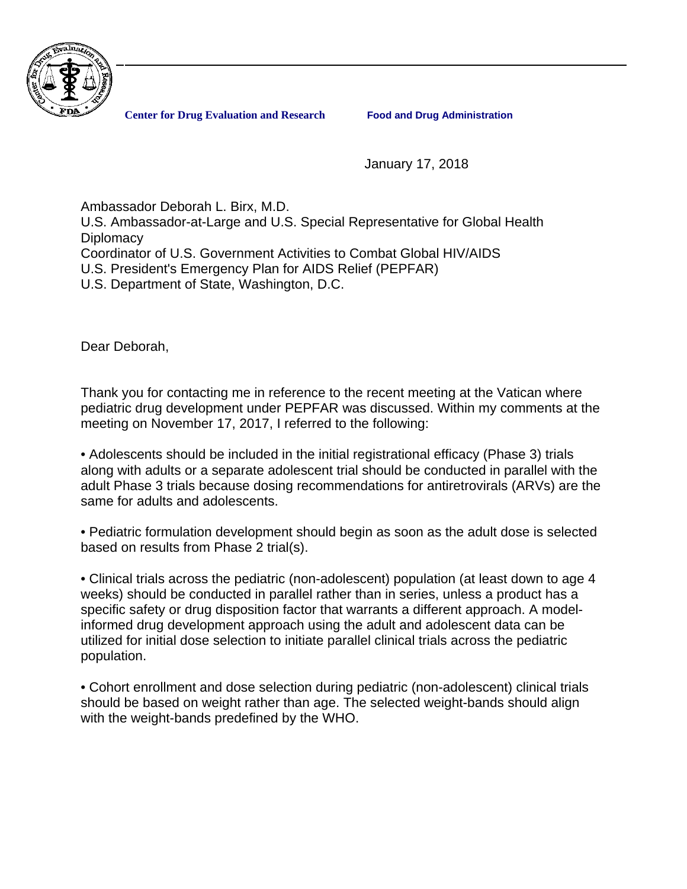

**Center for Drug Evaluation and Research Food and Drug Administration**

January 17, 2018

Ambassador Deborah L. Birx, M.D.

U.S. Ambassador-at-Large and U.S. Special Representative for Global Health **Diplomacy** Coordinator of U.S. Government Activities to Combat Global HIV/AIDS

U.S. President's Emergency Plan for AIDS Relief (PEPFAR)

U.S. Department of State, Washington, D.C.

Dear Deborah,

Thank you for contacting me in reference to the recent meeting at the Vatican where pediatric drug development under PEPFAR was discussed. Within my comments at the meeting on November 17, 2017, I referred to the following:

• Adolescents should be included in the initial registrational efficacy (Phase 3) trials along with adults or a separate adolescent trial should be conducted in parallel with the adult Phase 3 trials because dosing recommendations for antiretrovirals (ARVs) are the same for adults and adolescents.

• Pediatric formulation development should begin as soon as the adult dose is selected based on results from Phase 2 trial(s).

• Clinical trials across the pediatric (non-adolescent) population (at least down to age 4 weeks) should be conducted in parallel rather than in series, unless a product has a specific safety or drug disposition factor that warrants a different approach. A modelinformed drug development approach using the adult and adolescent data can be utilized for initial dose selection to initiate parallel clinical trials across the pediatric population.

• Cohort enrollment and dose selection during pediatric (non-adolescent) clinical trials should be based on weight rather than age. The selected weight-bands should align with the weight-bands predefined by the WHO.